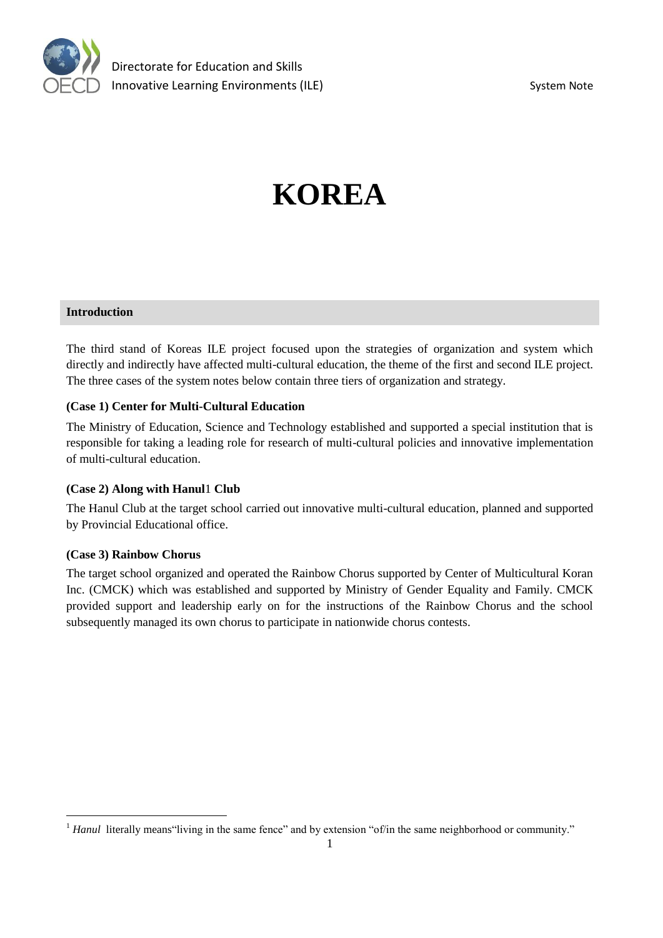

# **KOREA**

#### **Introduction**

The third stand of Koreas ILE project focused upon the strategies of organization and system which directly and indirectly have affected multi-cultural education, the theme of the first and second ILE project. The three cases of the system notes below contain three tiers of organization and strategy.

#### **(Case 1) Center for Multi-Cultural Education**

The Ministry of Education, Science and Technology established and supported a special institution that is responsible for taking a leading role for research of multi-cultural policies and innovative implementation of multi-cultural education.

#### **(Case 2) Along with Hanul**1 **Club**

The Hanul Club at the target school carried out innovative multi-cultural education, planned and supported by Provincial Educational office.

#### **(Case 3) Rainbow Chorus**

The target school organized and operated the Rainbow Chorus supported by Center of Multicultural Koran Inc. (CMCK) which was established and supported by Ministry of Gender Equality and Family. CMCK provided support and leadership early on for the instructions of the Rainbow Chorus and the school subsequently managed its own chorus to participate in nationwide chorus contests.

<sup>&</sup>lt;sup>1</sup> *Hanul* literally means 'living in the same fence' and by extension "of/in the same neighborhood or community."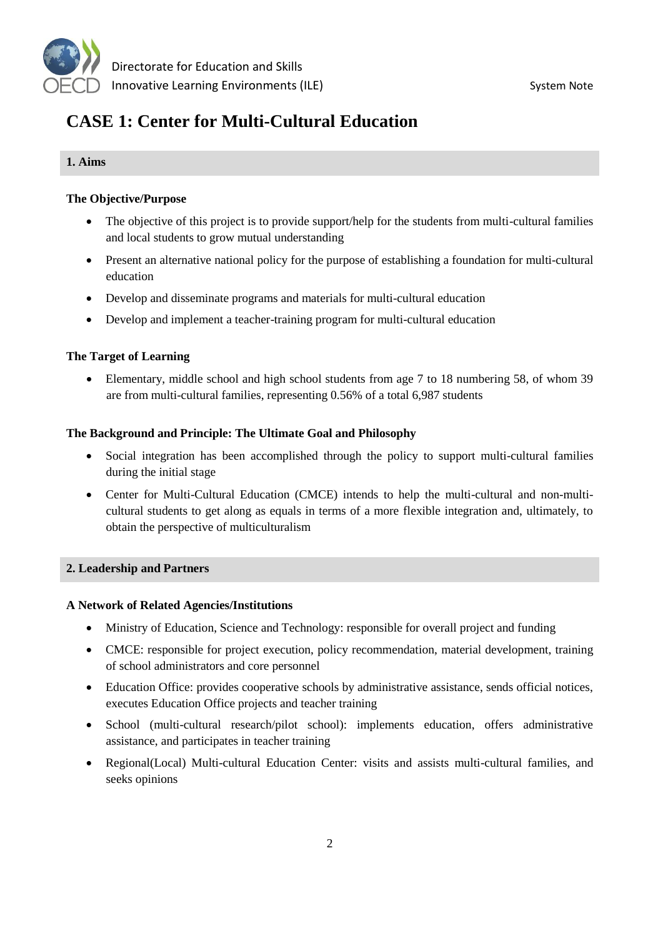

# **CASE 1: Center for Multi-Cultural Education**

#### **1. Aims**

#### **The Objective/Purpose**

- The objective of this project is to provide support/help for the students from multi-cultural families and local students to grow mutual understanding
- Present an alternative national policy for the purpose of establishing a foundation for multi-cultural education
- Develop and disseminate programs and materials for multi-cultural education
- Develop and implement a teacher-training program for multi-cultural education

#### **The Target of Learning**

 Elementary, middle school and high school students from age 7 to 18 numbering 58, of whom 39 are from multi-cultural families, representing 0.56% of a total 6,987 students

### **The Background and Principle: The Ultimate Goal and Philosophy**

- Social integration has been accomplished through the policy to support multi-cultural families during the initial stage
- Center for Multi-Cultural Education (CMCE) intends to help the multi-cultural and non-multicultural students to get along as equals in terms of a more flexible integration and, ultimately, to obtain the perspective of multiculturalism

#### **2. Leadership and Partners**

#### **A Network of Related Agencies/Institutions**

- Ministry of Education, Science and Technology: responsible for overall project and funding
- CMCE: responsible for project execution, policy recommendation, material development, training of school administrators and core personnel
- Education Office: provides cooperative schools by administrative assistance, sends official notices, executes Education Office projects and teacher training
- School (multi-cultural research/pilot school): implements education, offers administrative assistance, and participates in teacher training
- Regional(Local) Multi-cultural Education Center: visits and assists multi-cultural families, and seeks opinions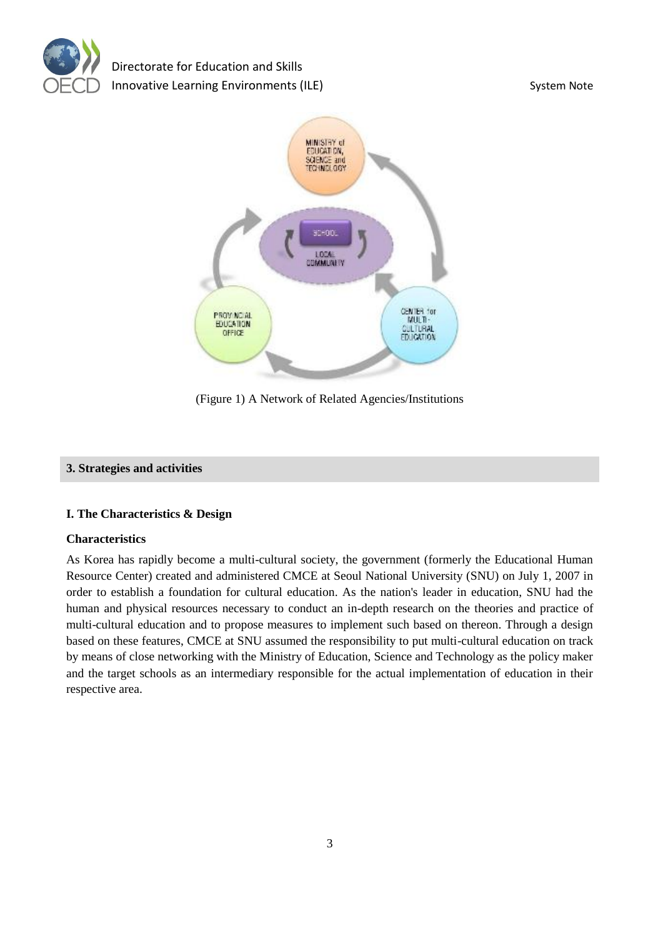



(Figure 1) A Network of Related Agencies/Institutions

#### **3. Strategies and activities**

#### **I. The Characteristics & Design**

#### **Characteristics**

As Korea has rapidly become a multi-cultural society, the government (formerly the Educational Human Resource Center) created and administered CMCE at Seoul National University (SNU) on July 1, 2007 in order to establish a foundation for cultural education. As the nation's leader in education, SNU had the human and physical resources necessary to conduct an in-depth research on the theories and practice of multi-cultural education and to propose measures to implement such based on thereon. Through a design based on these features, CMCE at SNU assumed the responsibility to put multi-cultural education on track by means of close networking with the Ministry of Education, Science and Technology as the policy maker and the target schools as an intermediary responsible for the actual implementation of education in their respective area.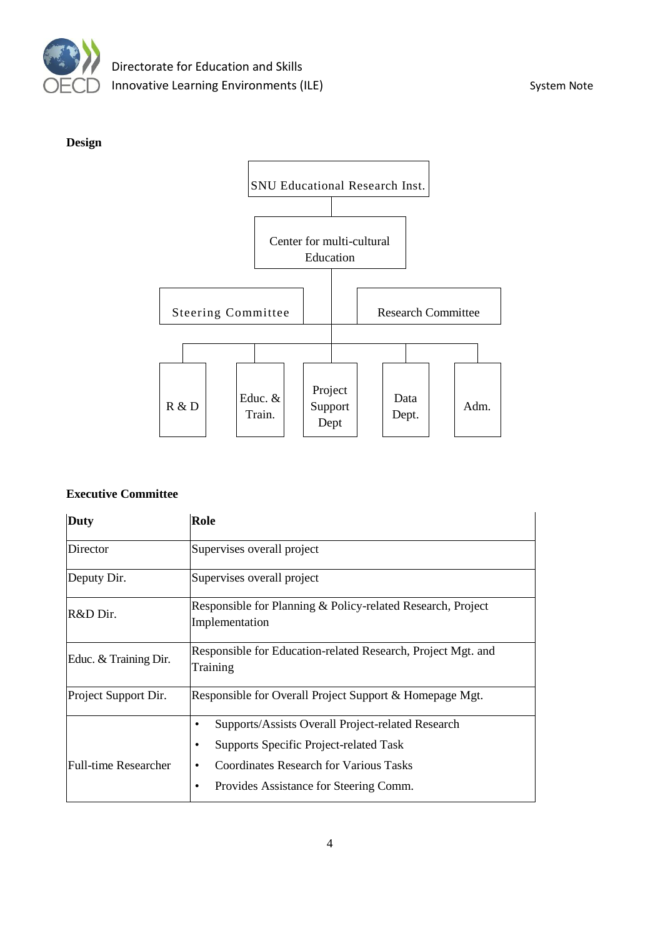



#### **Executive Committee**

| <b>Duty</b>                 | Role                                                                                                                                                                                        |  |  |  |
|-----------------------------|---------------------------------------------------------------------------------------------------------------------------------------------------------------------------------------------|--|--|--|
| Director                    | Supervises overall project                                                                                                                                                                  |  |  |  |
| Deputy Dir.                 | Supervises overall project                                                                                                                                                                  |  |  |  |
| R&D Dir.                    | Responsible for Planning & Policy-related Research, Project<br>Implementation                                                                                                               |  |  |  |
| Educ. & Training Dir.       | Responsible for Education-related Research, Project Mgt. and<br>Training                                                                                                                    |  |  |  |
| Project Support Dir.        | Responsible for Overall Project Support & Homepage Mgt.                                                                                                                                     |  |  |  |
| <b>Full-time Researcher</b> | Supports/Assists Overall Project-related Research<br><b>Supports Specific Project-related Task</b><br>Coordinates Research for Various Tasks<br>Provides Assistance for Steering Comm.<br>٠ |  |  |  |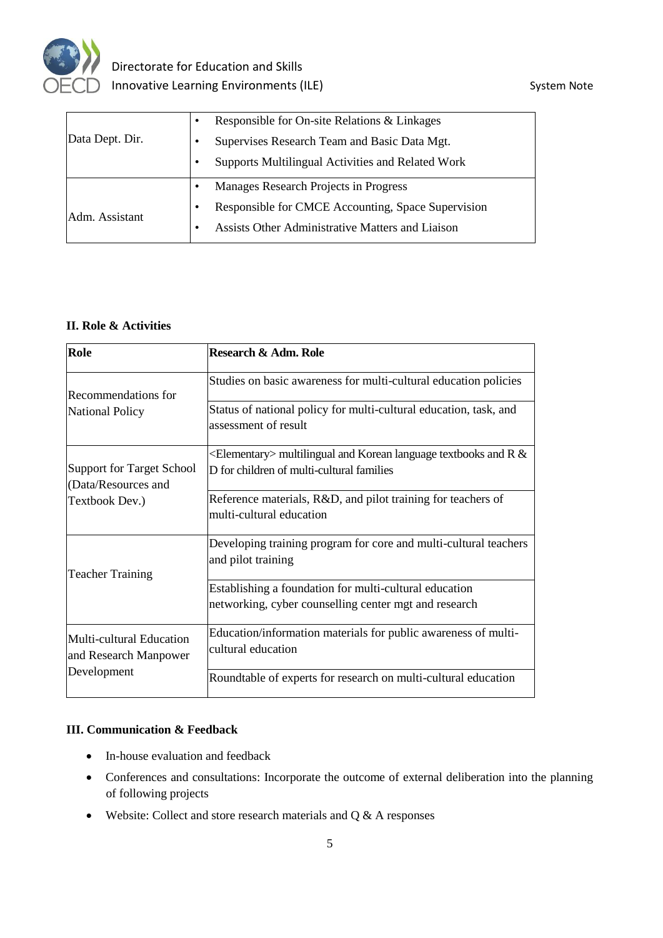

|                 | $\bullet$ | Responsible for On-site Relations & Linkages            |  |  |
|-----------------|-----------|---------------------------------------------------------|--|--|
| Data Dept. Dir. | ٠         | Supervises Research Team and Basic Data Mgt.            |  |  |
|                 | ٠         | Supports Multilingual Activities and Related Work       |  |  |
|                 | ٠         | Manages Research Projects in Progress                   |  |  |
| Adm. Assistant  | ٠         | Responsible for CMCE Accounting, Space Supervision      |  |  |
|                 | ٠         | <b>Assists Other Administrative Matters and Liaison</b> |  |  |

#### **II. Role & Activities**

| Role                                                             | Research & Adm. Role                                                                                               |
|------------------------------------------------------------------|--------------------------------------------------------------------------------------------------------------------|
| Recommendations for                                              | Studies on basic awareness for multi-cultural education policies                                                   |
| <b>National Policy</b>                                           | Status of national policy for multi-cultural education, task, and<br>assessment of result                          |
| <b>Support for Target School</b><br>(Data/Resources and          | $\leq$ Elementary> multilingual and Korean language textbooks and R &<br>D for children of multi-cultural families |
| Textbook Dev.)                                                   | Reference materials, R&D, and pilot training for teachers of<br>multi-cultural education                           |
| <b>Teacher Training</b>                                          | Developing training program for core and multi-cultural teachers<br>and pilot training                             |
|                                                                  | Establishing a foundation for multi-cultural education<br>networking, cyber counselling center mgt and research    |
| Multi-cultural Education<br>and Research Manpower<br>Development | Education/information materials for public awareness of multi-<br>cultural education                               |
|                                                                  | Roundtable of experts for research on multi-cultural education                                                     |

#### **III. Communication & Feedback**

- In-house evaluation and feedback
- Conferences and consultations: Incorporate the outcome of external deliberation into the planning of following projects
- Website: Collect and store research materials and  $Q & A$  responses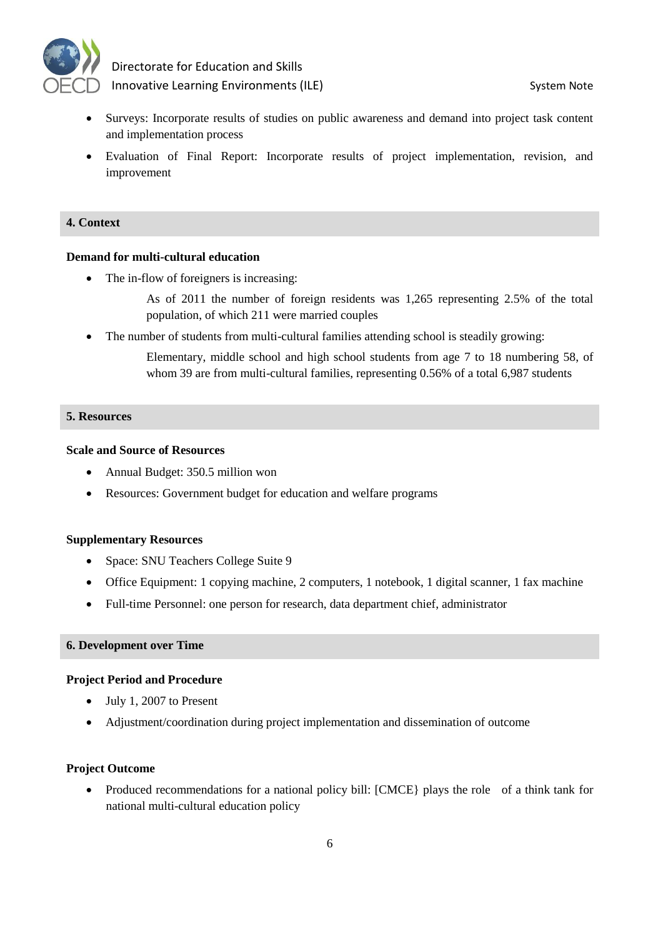

- Surveys: Incorporate results of studies on public awareness and demand into project task content and implementation process
- Evaluation of Final Report: Incorporate results of project implementation, revision, and improvement

#### **4. Context**

#### **Demand for multi-cultural education**

The in-flow of foreigners is increasing:

As of 2011 the number of foreign residents was 1,265 representing 2.5% of the total population, of which 211 were married couples

• The number of students from multi-cultural families attending school is steadily growing:

Elementary, middle school and high school students from age 7 to 18 numbering 58, of whom 39 are from multi-cultural families, representing 0.56% of a total 6,987 students

#### **5. Resources**

#### **Scale and Source of Resources**

- Annual Budget: 350.5 million won
- Resources: Government budget for education and welfare programs

#### **Supplementary Resources**

- Space: SNU Teachers College Suite 9
- Office Equipment: 1 copying machine, 2 computers, 1 notebook, 1 digital scanner, 1 fax machine
- Full-time Personnel: one person for research, data department chief, administrator

#### **6. Development over Time**

#### **Project Period and Procedure**

- July 1, 2007 to Present
- Adjustment/coordination during project implementation and dissemination of outcome

#### **Project Outcome**

• Produced recommendations for a national policy bill: [CMCE] plays the role of a think tank for national multi-cultural education policy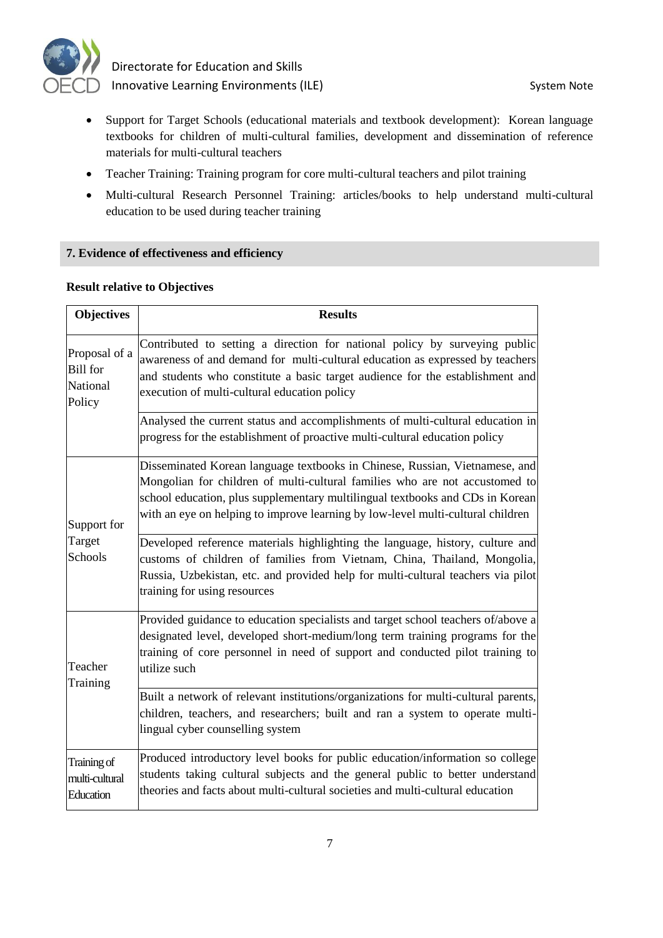

- Support for Target Schools (educational materials and textbook development): Korean language textbooks for children of multi-cultural families, development and dissemination of reference materials for multi-cultural teachers
- Teacher Training: Training program for core multi-cultural teachers and pilot training
- Multi-cultural Research Personnel Training: articles/books to help understand multi-cultural education to be used during teacher training

#### **7. Evidence of effectiveness and efficiency**

#### **Result relative to Objectives**

| <b>Objectives</b>                                      | <b>Results</b>                                                                                                                                                                                                                                                                                                                 |
|--------------------------------------------------------|--------------------------------------------------------------------------------------------------------------------------------------------------------------------------------------------------------------------------------------------------------------------------------------------------------------------------------|
| Proposal of a<br><b>Bill</b> for<br>National<br>Policy | Contributed to setting a direction for national policy by surveying public<br>awareness of and demand for multi-cultural education as expressed by teachers<br>and students who constitute a basic target audience for the establishment and<br>execution of multi-cultural education policy                                   |
|                                                        | Analysed the current status and accomplishments of multi-cultural education in<br>progress for the establishment of proactive multi-cultural education policy                                                                                                                                                                  |
| Support for                                            | Disseminated Korean language textbooks in Chinese, Russian, Vietnamese, and<br>Mongolian for children of multi-cultural families who are not accustomed to<br>school education, plus supplementary multilingual textbooks and CDs in Korean<br>with an eye on helping to improve learning by low-level multi-cultural children |
| Target<br>Schools                                      | Developed reference materials highlighting the language, history, culture and<br>customs of children of families from Vietnam, China, Thailand, Mongolia,<br>Russia, Uzbekistan, etc. and provided help for multi-cultural teachers via pilot<br>training for using resources                                                  |
| Teacher<br>Training                                    | Provided guidance to education specialists and target school teachers of/above a<br>designated level, developed short-medium/long term training programs for the<br>training of core personnel in need of support and conducted pilot training to<br>utilize such                                                              |
|                                                        | Built a network of relevant institutions/organizations for multi-cultural parents,<br>children, teachers, and researchers; built and ran a system to operate multi-<br>lingual cyber counselling system                                                                                                                        |
| Training of<br>multi-cultural<br>Education             | Produced introductory level books for public education/information so college<br>students taking cultural subjects and the general public to better understand<br>theories and facts about multi-cultural societies and multi-cultural education                                                                               |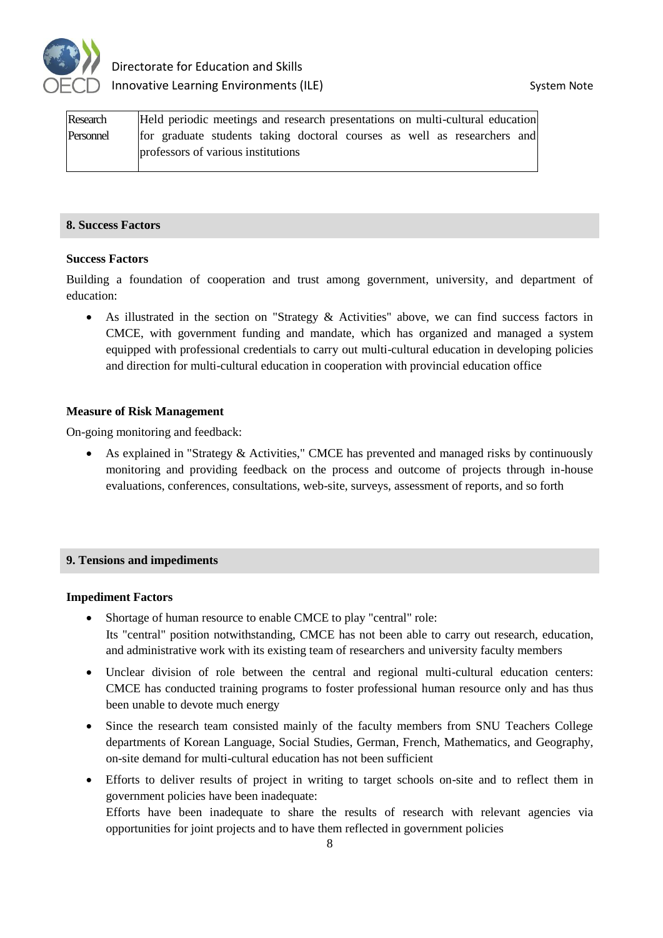

| Research  | Held periodic meetings and research presentations on multi-cultural education |
|-----------|-------------------------------------------------------------------------------|
| Personnel | for graduate students taking doctoral courses as well as researchers and      |
|           | professors of various institutions                                            |

#### **8. Success Factors**

#### **Success Factors**

Building a foundation of cooperation and trust among government, university, and department of education:

 As illustrated in the section on "Strategy & Activities" above, we can find success factors in CMCE, with government funding and mandate, which has organized and managed a system equipped with professional credentials to carry out multi-cultural education in developing policies and direction for multi-cultural education in cooperation with provincial education office

#### **Measure of Risk Management**

On-going monitoring and feedback:

• As explained in "Strategy & Activities," CMCE has prevented and managed risks by continuously monitoring and providing feedback on the process and outcome of projects through in-house evaluations, conferences, consultations, web-site, surveys, assessment of reports, and so forth

#### **9. Tensions and impediments**

#### **Impediment Factors**

- Shortage of human resource to enable CMCE to play "central" role: Its "central" position notwithstanding, CMCE has not been able to carry out research, education, and administrative work with its existing team of researchers and university faculty members
- Unclear division of role between the central and regional multi-cultural education centers: CMCE has conducted training programs to foster professional human resource only and has thus been unable to devote much energy
- Since the research team consisted mainly of the faculty members from SNU Teachers College departments of Korean Language, Social Studies, German, French, Mathematics, and Geography, on-site demand for multi-cultural education has not been sufficient
- Efforts to deliver results of project in writing to target schools on-site and to reflect them in government policies have been inadequate: Efforts have been inadequate to share the results of research with relevant agencies via opportunities for joint projects and to have them reflected in government policies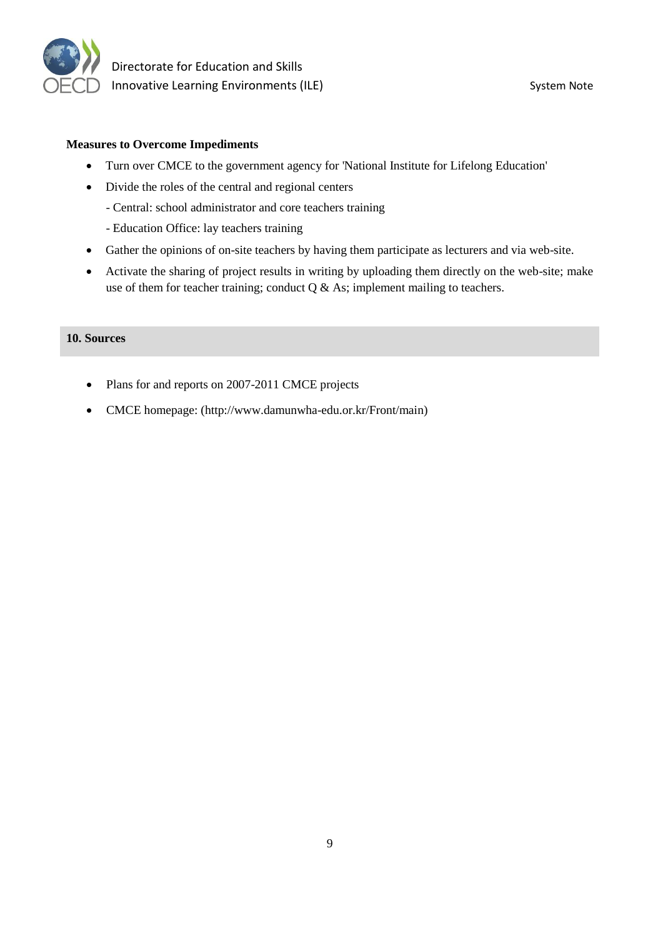

#### **Measures to Overcome Impediments**

- Turn over CMCE to the government agency for 'National Institute for Lifelong Education'
- Divide the roles of the central and regional centers
	- Central: school administrator and core teachers training
	- Education Office: lay teachers training
- Gather the opinions of on-site teachers by having them participate as lecturers and via web-site.
- Activate the sharing of project results in writing by uploading them directly on the web-site; make use of them for teacher training; conduct  $Q \&$  As; implement mailing to teachers.

### **10. Sources**

- Plans for and reports on 2007-2011 CMCE projects
- CMCE homepage: (http://www.damunwha-edu.or.kr/Front/main)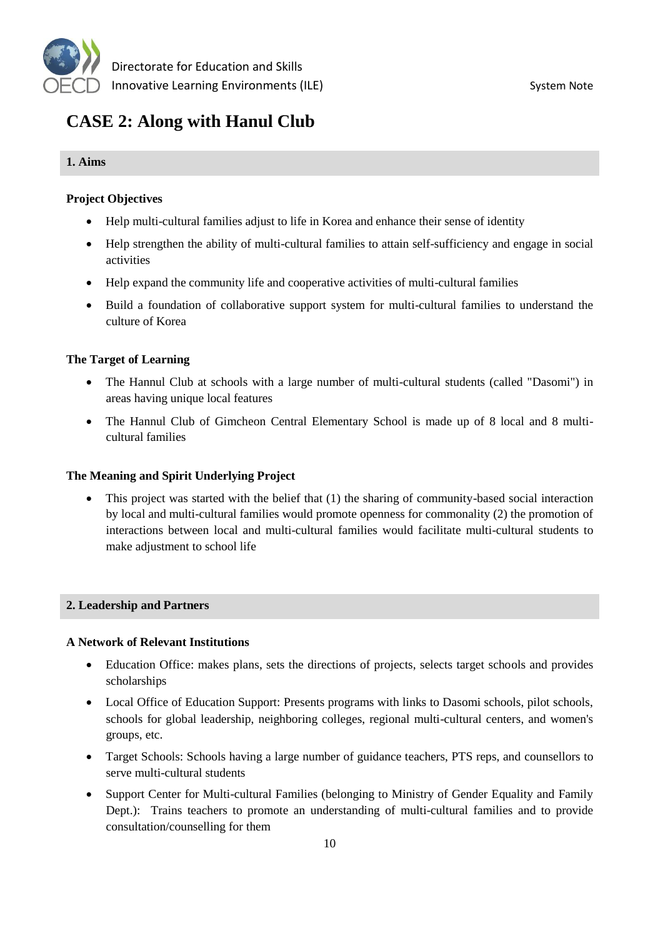

# **CASE 2: Along with Hanul Club**

#### **1. Aims**

#### **Project Objectives**

- Help multi-cultural families adjust to life in Korea and enhance their sense of identity
- Help strengthen the ability of multi-cultural families to attain self-sufficiency and engage in social activities
- Help expand the community life and cooperative activities of multi-cultural families
- Build a foundation of collaborative support system for multi-cultural families to understand the culture of Korea

#### **The Target of Learning**

- The Hannul Club at schools with a large number of multi-cultural students (called "Dasomi") in areas having unique local features
- The Hannul Club of Gimcheon Central Elementary School is made up of 8 local and 8 multicultural families

#### **The Meaning and Spirit Underlying Project**

 This project was started with the belief that (1) the sharing of community-based social interaction by local and multi-cultural families would promote openness for commonality (2) the promotion of interactions between local and multi-cultural families would facilitate multi-cultural students to make adjustment to school life

#### **2. Leadership and Partners**

#### **A Network of Relevant Institutions**

- Education Office: makes plans, sets the directions of projects, selects target schools and provides scholarships
- Local Office of Education Support: Presents programs with links to Dasomi schools, pilot schools, schools for global leadership, neighboring colleges, regional multi-cultural centers, and women's groups, etc.
- Target Schools: Schools having a large number of guidance teachers, PTS reps, and counsellors to serve multi-cultural students
- Support Center for Multi-cultural Families (belonging to Ministry of Gender Equality and Family Dept.): Trains teachers to promote an understanding of multi-cultural families and to provide consultation/counselling for them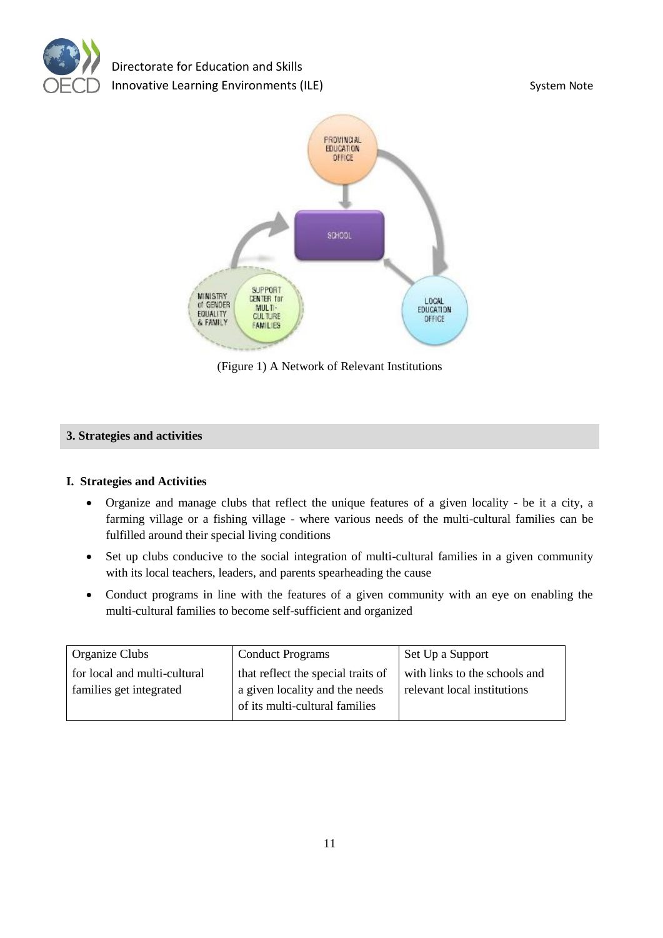



(Figure 1) A Network of Relevant Institutions

#### **3. Strategies and activities**

#### **I. Strategies and Activities**

- Organize and manage clubs that reflect the unique features of a given locality be it a city, a farming village or a fishing village - where various needs of the multi-cultural families can be fulfilled around their special living conditions
- Set up clubs conducive to the social integration of multi-cultural families in a given community with its local teachers, leaders, and parents spearheading the cause
- Conduct programs in line with the features of a given community with an eye on enabling the multi-cultural families to become self-sufficient and organized

| <b>Conduct Programs</b>            | Set Up a Support              |
|------------------------------------|-------------------------------|
| that reflect the special traits of | with links to the schools and |
| a given locality and the needs     | relevant local institutions   |
| of its multi-cultural families     |                               |
|                                    |                               |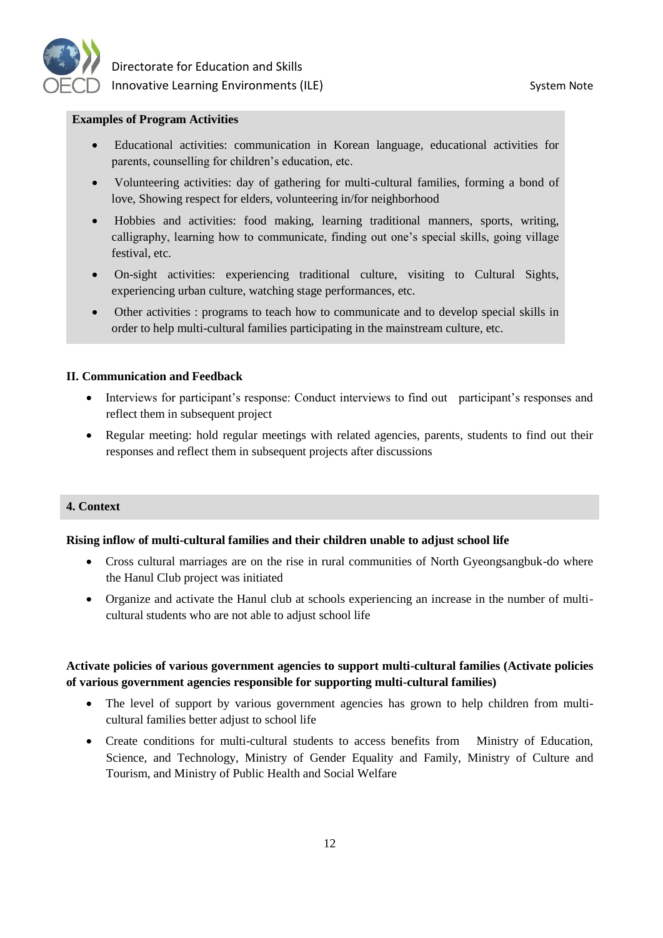

#### **Examples of Program Activities**

- Educational activities: communication in Korean language, educational activities for parents, counselling for children's education, etc.
- Volunteering activities: day of gathering for multi-cultural families, forming a bond of love, Showing respect for elders, volunteering in/for neighborhood
- Hobbies and activities: food making, learning traditional manners, sports, writing, calligraphy, learning how to communicate, finding out one's special skills, going village festival, etc.
- On-sight activities: experiencing traditional culture, visiting to Cultural Sights, experiencing urban culture, watching stage performances, etc.
- Other activities : programs to teach how to communicate and to develop special skills in order to help multi-cultural families participating in the mainstream culture, etc.

#### **II. Communication and Feedback**

- Interviews for participant's response: Conduct interviews to find out participant's responses and reflect them in subsequent project
- Regular meeting: hold regular meetings with related agencies, parents, students to find out their responses and reflect them in subsequent projects after discussions

#### **4. Context**

#### **Rising inflow of multi-cultural families and their children unable to adjust school life**

- Cross cultural marriages are on the rise in rural communities of North Gyeongsangbuk-do where the Hanul Club project was initiated
- Organize and activate the Hanul club at schools experiencing an increase in the number of multicultural students who are not able to adjust school life

#### **Activate policies of various government agencies to support multi-cultural families (Activate policies of various government agencies responsible for supporting multi-cultural families)**

- The level of support by various government agencies has grown to help children from multicultural families better adjust to school life
- Create conditions for multi-cultural students to access benefits from Ministry of Education, Science, and Technology, Ministry of Gender Equality and Family, Ministry of Culture and Tourism, and Ministry of Public Health and Social Welfare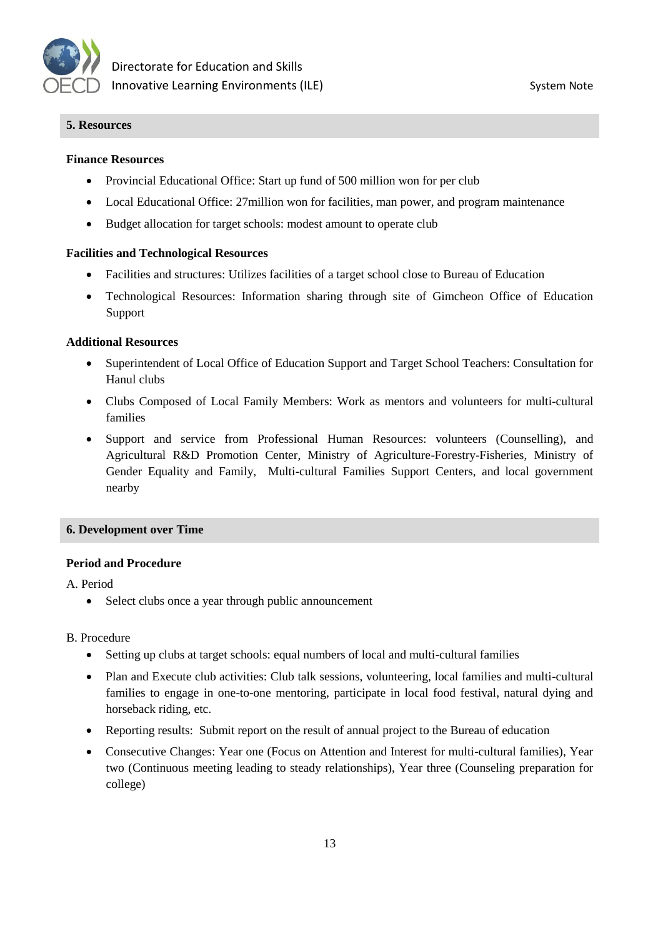

#### **5. Resources**

#### **Finance Resources**

- Provincial Educational Office: Start up fund of 500 million won for per club
- Local Educational Office: 27million won for facilities, man power, and program maintenance
- Budget allocation for target schools: modest amount to operate club

#### **Facilities and Technological Resources**

- Facilities and structures: Utilizes facilities of a target school close to Bureau of Education
- Technological Resources: Information sharing through site of Gimcheon Office of Education Support

#### **Additional Resources**

- Superintendent of Local Office of Education Support and Target School Teachers: Consultation for Hanul clubs
- Clubs Composed of Local Family Members: Work as mentors and volunteers for multi-cultural families
- Support and service from Professional Human Resources: volunteers (Counselling), and Agricultural R&D Promotion Center, Ministry of Agriculture-Forestry-Fisheries, Ministry of Gender Equality and Family, Multi-cultural Families Support Centers, and local government nearby

#### **6. Development over Time**

#### **Period and Procedure**

A. Period

• Select clubs once a year through public announcement

#### B. Procedure

- Setting up clubs at target schools: equal numbers of local and multi-cultural families
- Plan and Execute club activities: Club talk sessions, volunteering, local families and multi-cultural families to engage in one-to-one mentoring, participate in local food festival, natural dying and horseback riding, etc.
- Reporting results: Submit report on the result of annual project to the Bureau of education
- Consecutive Changes: Year one (Focus on Attention and Interest for multi-cultural families), Year two (Continuous meeting leading to steady relationships), Year three (Counseling preparation for college)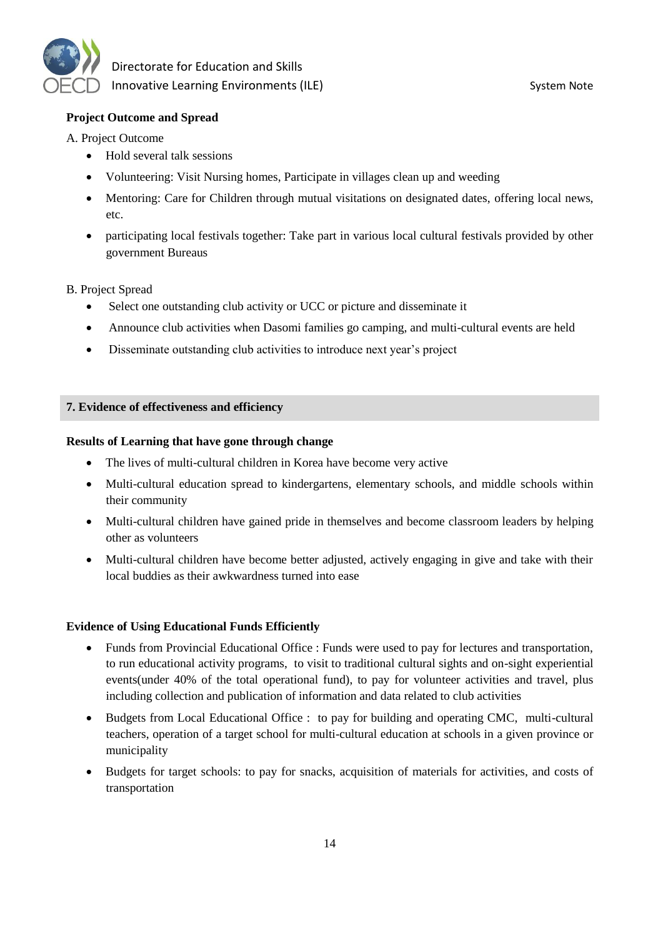

#### **Project Outcome and Spread**

A. Project Outcome

- Hold several talk sessions
- Volunteering: Visit Nursing homes, Participate in villages clean up and weeding
- Mentoring: Care for Children through mutual visitations on designated dates, offering local news, etc.
- participating local festivals together: Take part in various local cultural festivals provided by other government Bureaus

#### B. Project Spread

- Select one outstanding club activity or UCC or picture and disseminate it
- Announce club activities when Dasomi families go camping, and multi-cultural events are held
- Disseminate outstanding club activities to introduce next year's project

#### **7. Evidence of effectiveness and efficiency**

#### **Results of Learning that have gone through change**

- The lives of multi-cultural children in Korea have become very active
- Multi-cultural education spread to kindergartens, elementary schools, and middle schools within their community
- Multi-cultural children have gained pride in themselves and become classroom leaders by helping other as volunteers
- Multi-cultural children have become better adjusted, actively engaging in give and take with their local buddies as their awkwardness turned into ease

#### **Evidence of Using Educational Funds Efficiently**

- Funds from Provincial Educational Office : Funds were used to pay for lectures and transportation, to run educational activity programs, to visit to traditional cultural sights and on-sight experiential events(under 40% of the total operational fund), to pay for volunteer activities and travel, plus including collection and publication of information and data related to club activities
- Budgets from Local Educational Office : to pay for building and operating CMC, multi-cultural teachers, operation of a target school for multi-cultural education at schools in a given province or municipality
- Budgets for target schools: to pay for snacks, acquisition of materials for activities, and costs of transportation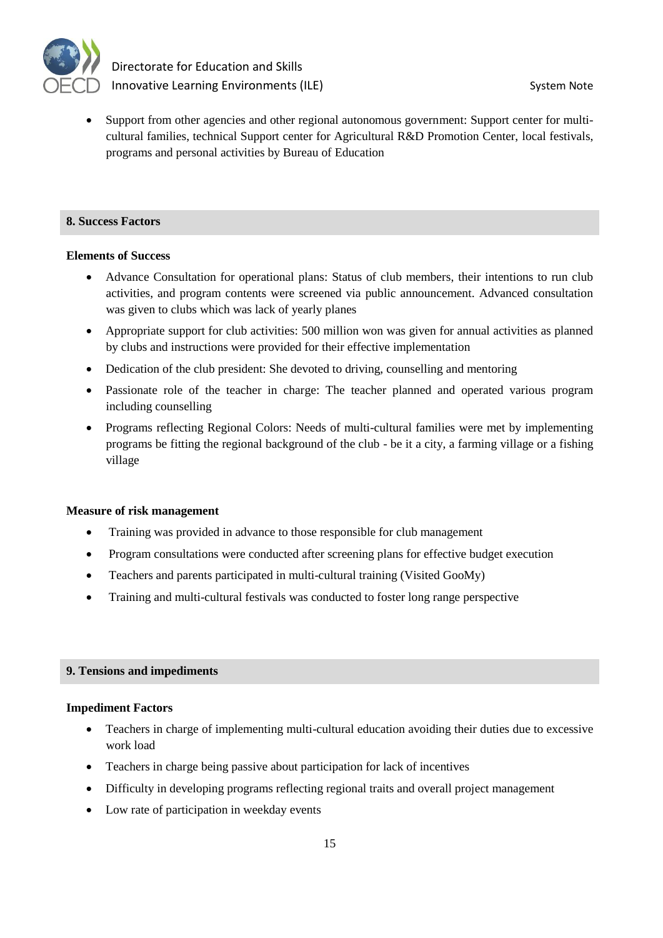

 Support from other agencies and other regional autonomous government: Support center for multicultural families, technical Support center for Agricultural R&D Promotion Center, local festivals, programs and personal activities by Bureau of Education

#### **8. Success Factors**

#### **Elements of Success**

- Advance Consultation for operational plans: Status of club members, their intentions to run club activities, and program contents were screened via public announcement. Advanced consultation was given to clubs which was lack of yearly planes
- Appropriate support for club activities: 500 million won was given for annual activities as planned by clubs and instructions were provided for their effective implementation
- Dedication of the club president: She devoted to driving, counselling and mentoring
- Passionate role of the teacher in charge: The teacher planned and operated various program including counselling
- Programs reflecting Regional Colors: Needs of multi-cultural families were met by implementing programs be fitting the regional background of the club - be it a city, a farming village or a fishing village

#### **Measure of risk management**

- Training was provided in advance to those responsible for club management
- Program consultations were conducted after screening plans for effective budget execution
- Teachers and parents participated in multi-cultural training (Visited GooMy)
- Training and multi-cultural festivals was conducted to foster long range perspective

#### **9. Tensions and impediments**

#### **Impediment Factors**

- Teachers in charge of implementing multi-cultural education avoiding their duties due to excessive work load
- Teachers in charge being passive about participation for lack of incentives
- Difficulty in developing programs reflecting regional traits and overall project management
- Low rate of participation in weekday events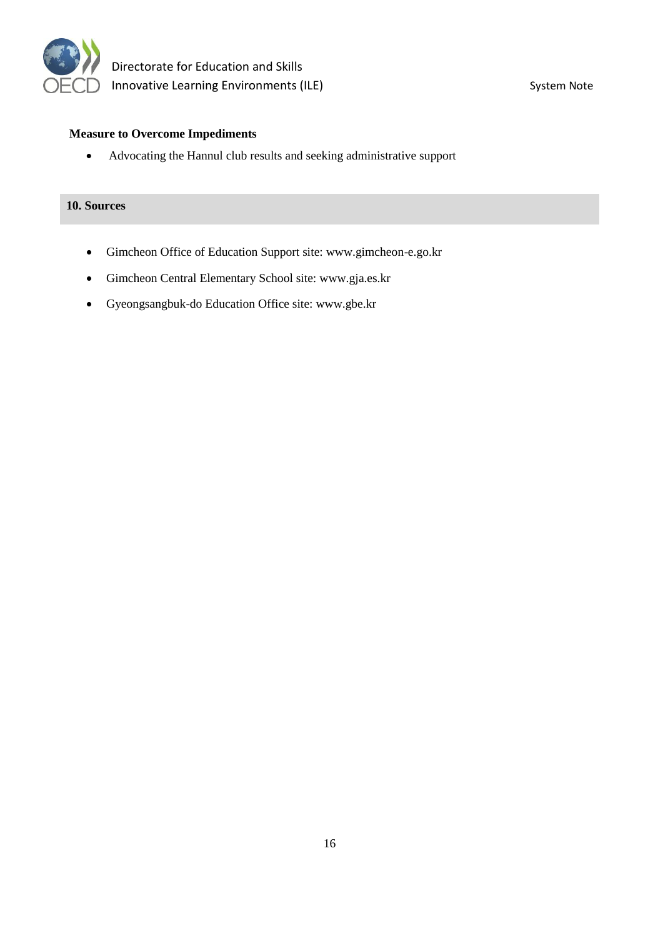

#### **Measure to Overcome Impediments**

Advocating the Hannul club results and seeking administrative support

#### **10. Sources**

- Gimcheon Office of Education Support site: www.gimcheon-e.go.kr
- Gimcheon Central Elementary School site: www.gja.es.kr
- Gyeongsangbuk-do Education Office site: www.gbe.kr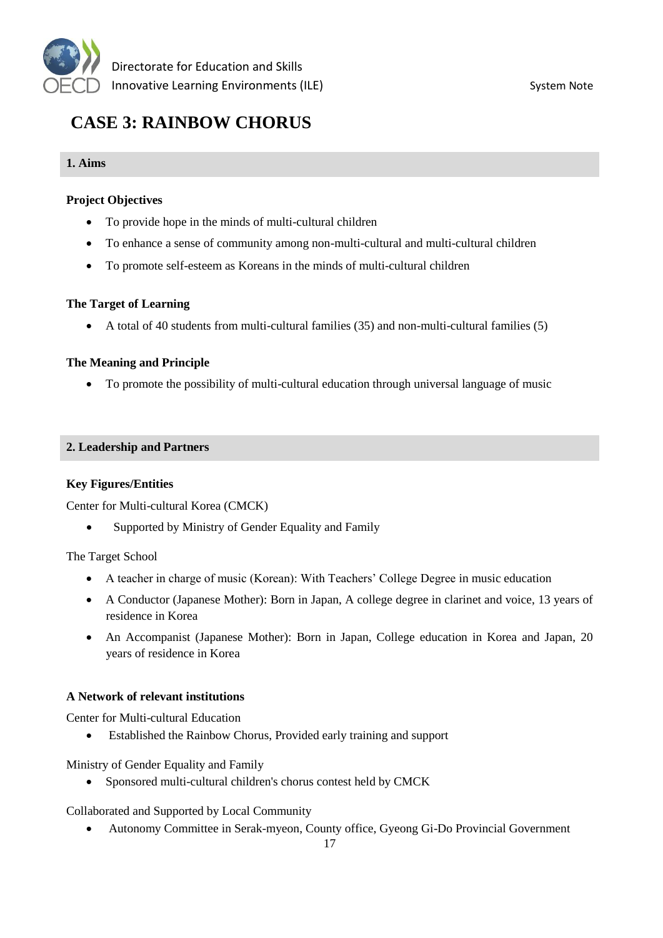

# **CASE 3: RAINBOW CHORUS**

#### **1. Aims**

#### **Project Objectives**

- To provide hope in the minds of multi-cultural children
- To enhance a sense of community among non-multi-cultural and multi-cultural children
- To promote self-esteem as Koreans in the minds of multi-cultural children

#### **The Target of Learning**

A total of 40 students from multi-cultural families (35) and non-multi-cultural families (5)

#### **The Meaning and Principle**

To promote the possibility of multi-cultural education through universal language of music

#### **2. Leadership and Partners**

#### **Key Figures/Entities**

Center for Multi-cultural Korea (CMCK)

• Supported by Ministry of Gender Equality and Family

The Target School

- A teacher in charge of music (Korean): With Teachers' College Degree in music education
- A Conductor (Japanese Mother): Born in Japan, A college degree in clarinet and voice, 13 years of residence in Korea
- An Accompanist (Japanese Mother): Born in Japan, College education in Korea and Japan, 20 years of residence in Korea

#### **A Network of relevant institutions**

Center for Multi-cultural Education

Established the Rainbow Chorus, Provided early training and support

Ministry of Gender Equality and Family

Sponsored multi-cultural children's chorus contest held by CMCK

Collaborated and Supported by Local Community

Autonomy Committee in Serak-myeon, County office, Gyeong Gi-Do Provincial Government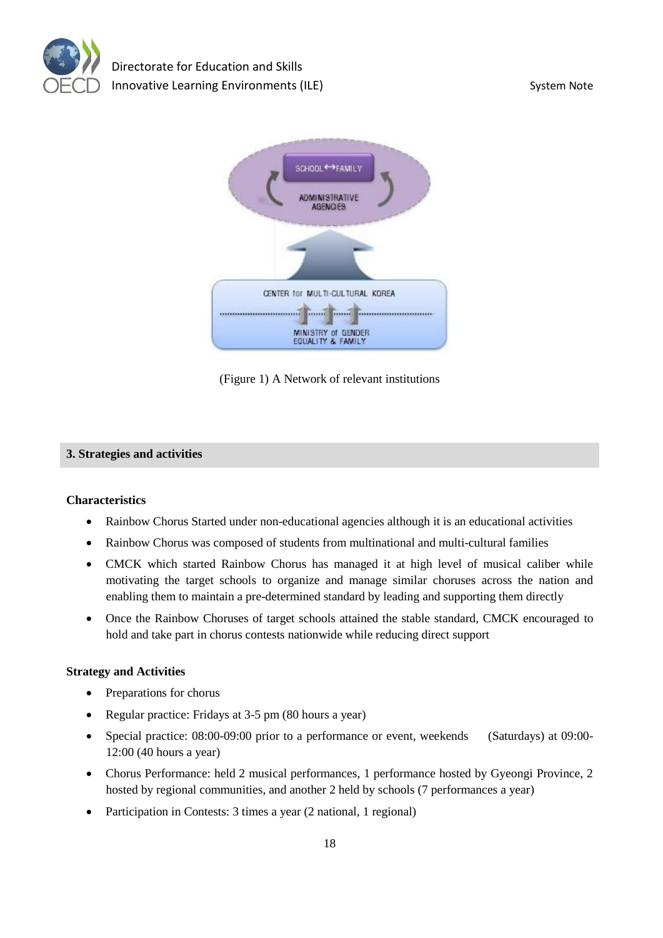



(Figure 1) A Network of relevant institutions

#### **3. Strategies and activities**

#### **Characteristics**

- Rainbow Chorus Started under non-educational agencies although it is an educational activities
- Rainbow Chorus was composed of students from multinational and multi-cultural families
- CMCK which started Rainbow Chorus has managed it at high level of musical caliber while motivating the target schools to organize and manage similar choruses across the nation and enabling them to maintain a pre-determined standard by leading and supporting them directly
- Once the Rainbow Choruses of target schools attained the stable standard, CMCK encouraged to hold and take part in chorus contests nationwide while reducing direct support

#### **Strategy and Activities**

- Preparations for chorus
- Regular practice: Fridays at 3-5 pm (80 hours a year)
- Special practice: 08:00-09:00 prior to a performance or event, weekends (Saturdays) at 09:00- 12:00 (40 hours a year)
- Chorus Performance: held 2 musical performances, 1 performance hosted by Gyeongi Province, 2 hosted by regional communities, and another 2 held by schools (7 performances a year)
- Participation in Contests: 3 times a year (2 national, 1 regional)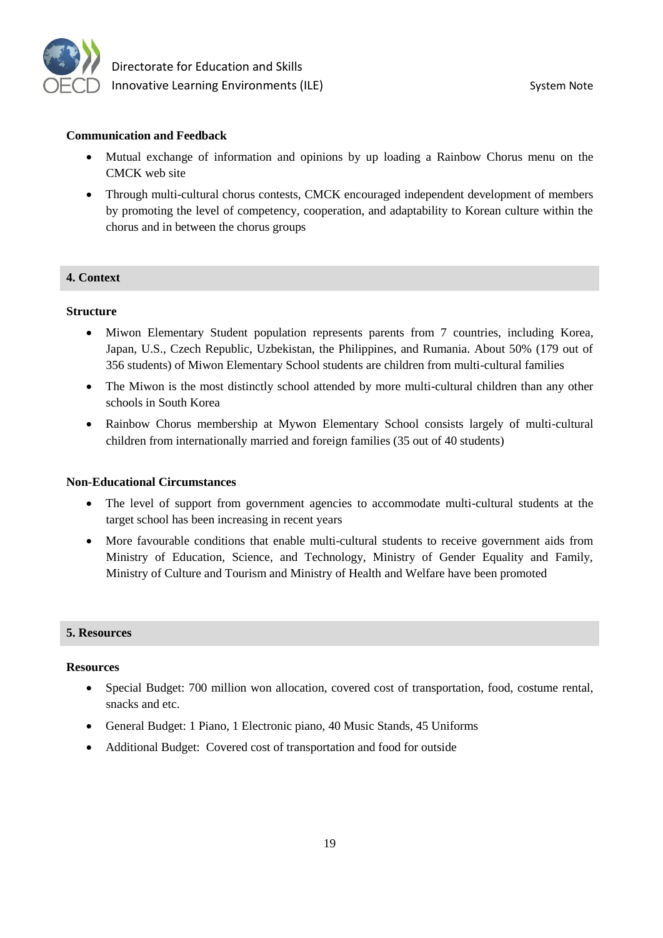

#### **Communication and Feedback**

- Mutual exchange of information and opinions by up loading a Rainbow Chorus menu on the CMCK web site
- Through multi-cultural chorus contests, CMCK encouraged independent development of members by promoting the level of competency, cooperation, and adaptability to Korean culture within the chorus and in between the chorus groups

#### **4. Context**

#### **Structure**

- Miwon Elementary Student population represents parents from 7 countries, including Korea, Japan, U.S., Czech Republic, Uzbekistan, the Philippines, and Rumania. About 50% (179 out of 356 students) of Miwon Elementary School students are children from multi-cultural families
- The Miwon is the most distinctly school attended by more multi-cultural children than any other schools in South Korea
- Rainbow Chorus membership at Mywon Elementary School consists largely of multi-cultural children from internationally married and foreign families (35 out of 40 students)

#### **Non-Educational Circumstances**

- The level of support from government agencies to accommodate multi-cultural students at the target school has been increasing in recent years
- More favourable conditions that enable multi-cultural students to receive government aids from Ministry of Education, Science, and Technology, Ministry of Gender Equality and Family, Ministry of Culture and Tourism and Ministry of Health and Welfare have been promoted

#### **5. Resources**

#### **Resources**

- Special Budget: 700 million won allocation, covered cost of transportation, food, costume rental, snacks and etc.
- General Budget: 1 Piano, 1 Electronic piano, 40 Music Stands, 45 Uniforms
- Additional Budget: Covered cost of transportation and food for outside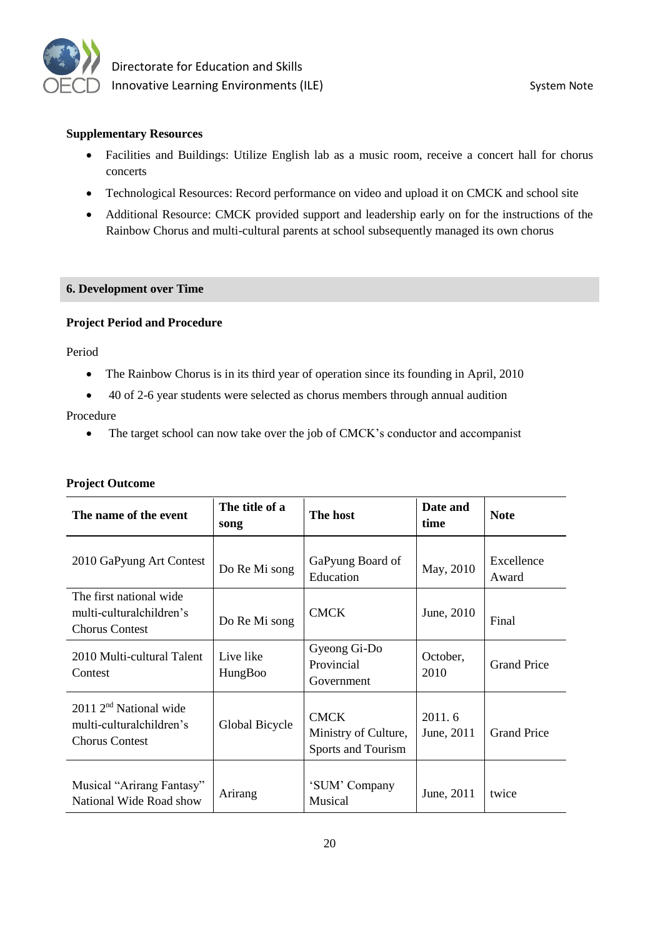

#### **Supplementary Resources**

- Facilities and Buildings: Utilize English lab as a music room, receive a concert hall for chorus concerts
- Technological Resources: Record performance on video and upload it on CMCK and school site
- Additional Resource: CMCK provided support and leadership early on for the instructions of the Rainbow Chorus and multi-cultural parents at school subsequently managed its own chorus

#### **6. Development over Time**

#### **Project Period and Procedure**

Period

- The Rainbow Chorus is in its third year of operation since its founding in April, 2010
- 40 of 2-6 year students were selected as chorus members through annual audition

#### Procedure

• The target school can now take over the job of CMCK's conductor and accompanist

#### **Project Outcome**

| The name of the event                                                                   | The title of a<br>song | The host                                                  | Date and<br>time     | <b>Note</b>         |
|-----------------------------------------------------------------------------------------|------------------------|-----------------------------------------------------------|----------------------|---------------------|
| 2010 GaPyung Art Contest                                                                | Do Re Mi song          | GaPyung Board of<br>Education                             | May, 2010            | Excellence<br>Award |
| The first national wide<br>multi-culturalchildren's<br><b>Chorus Contest</b>            | Do Re Mi song          | <b>CMCK</b>                                               | June, 2010           | Final               |
| 2010 Multi-cultural Talent<br>Contest                                                   | Live like<br>HungBoo   | Gyeong Gi-Do<br>Provincial<br>Government                  | October,<br>2010     | <b>Grand Price</b>  |
| 2011 2 <sup>nd</sup> National wide<br>multi-culturalchildren's<br><b>Chorus Contest</b> | Global Bicycle         | <b>CMCK</b><br>Ministry of Culture,<br>Sports and Tourism | 2011.6<br>June, 2011 | <b>Grand Price</b>  |
| Musical "Arirang Fantasy"<br>National Wide Road show                                    | Arirang                | 'SUM' Company<br>Musical                                  | June, 2011           | twice               |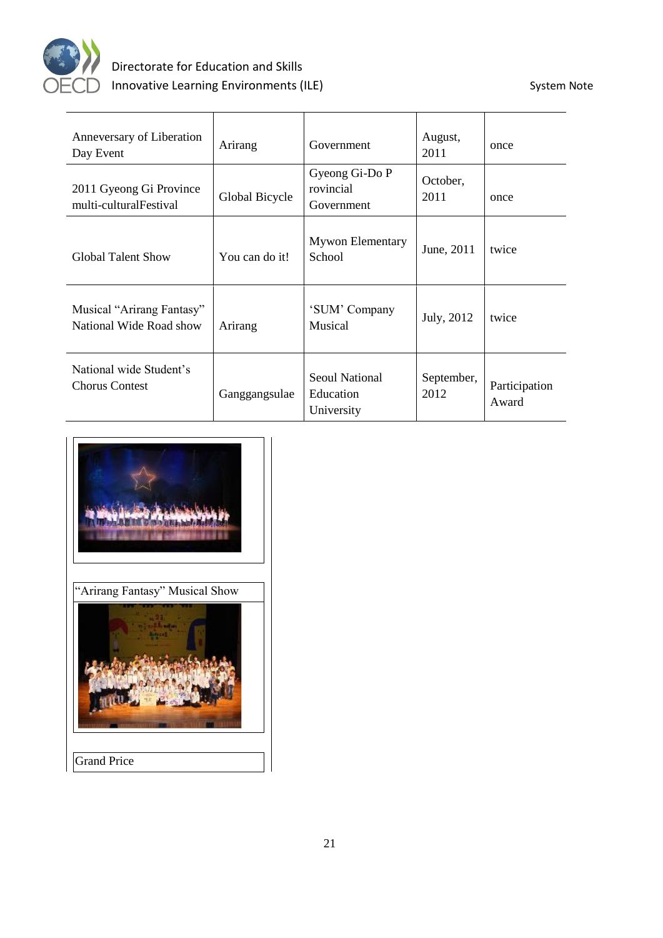

| Anneversary of Liberation<br>Day Event               | Arirang        | Government                                       | August,<br>2011    | once                   |
|------------------------------------------------------|----------------|--------------------------------------------------|--------------------|------------------------|
| 2011 Gyeong Gi Province<br>multi-cultural Festival   | Global Bicycle | Gyeong Gi-Do P<br>rovincial<br>Government        | October,<br>2011   | once                   |
| <b>Global Talent Show</b>                            | You can do it! | <b>Mywon Elementary</b><br>School                | June, 2011         | twice                  |
| Musical "Arirang Fantasy"<br>National Wide Road show | Arirang        | 'SUM' Company<br>Musical                         | July, 2012         | twice                  |
| National wide Student's<br><b>Chorus Contest</b>     | Ganggangsulae  | <b>Seoul National</b><br>Education<br>University | September,<br>2012 | Participation<br>Award |



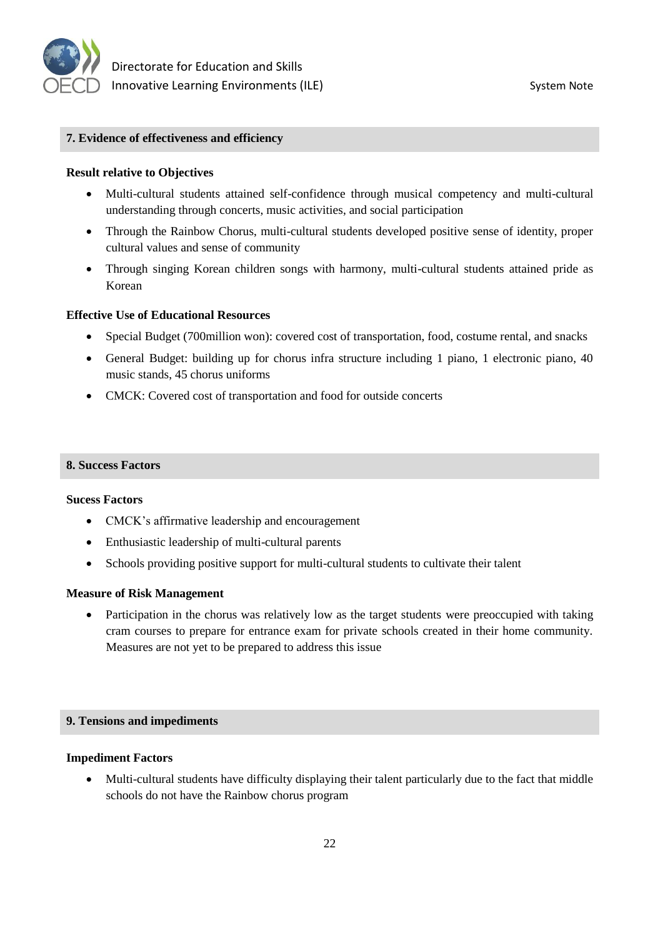

#### **7. Evidence of effectiveness and efficiency**

#### **Result relative to Objectives**

- Multi-cultural students attained self-confidence through musical competency and multi-cultural understanding through concerts, music activities, and social participation
- Through the Rainbow Chorus, multi-cultural students developed positive sense of identity, proper cultural values and sense of community
- Through singing Korean children songs with harmony, multi-cultural students attained pride as Korean

#### **Effective Use of Educational Resources**

- Special Budget (700million won): covered cost of transportation, food, costume rental, and snacks
- General Budget: building up for chorus infra structure including 1 piano, 1 electronic piano, 40 music stands, 45 chorus uniforms
- CMCK: Covered cost of transportation and food for outside concerts

#### **8. Success Factors**

#### **Sucess Factors**

- CMCK's affirmative leadership and encouragement
- Enthusiastic leadership of multi-cultural parents
- Schools providing positive support for multi-cultural students to cultivate their talent

#### **Measure of Risk Management**

• Participation in the chorus was relatively low as the target students were preoccupied with taking cram courses to prepare for entrance exam for private schools created in their home community. Measures are not yet to be prepared to address this issue

#### **9. Tensions and impediments**

#### **Impediment Factors**

 Multi-cultural students have difficulty displaying their talent particularly due to the fact that middle schools do not have the Rainbow chorus program